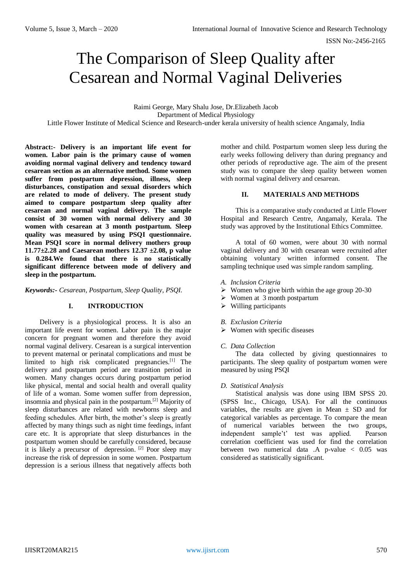# The Comparison of Sleep Quality after Cesarean and Normal Vaginal Deliveries

Raimi George, Mary Shalu Jose, Dr.Elizabeth Jacob Department of Medical Physiology Little Flower Institute of Medical Science and Research-under kerala university of health science Angamaly, India

**Abstract:- Delivery is an important life event for women. Labor pain is the primary cause of women avoiding normal vaginal delivery and tendency toward cesarean section as an alternative method. Some women suffer from postpartum depression, illness, sleep disturbances, constipation and sexual disorders which are related to mode of delivery. The present study aimed to compare postpartum sleep quality after cesarean and normal vaginal delivery. The sample consist of 30 women with normal delivery and 30 women with cesarean at 3 month postpartum. Sleep quality was measured by using PSQI questionnaire. Mean PSQI score in normal delivery mothers group 11.77±2.28 and Caesarean mothers 12.37 ±2.08, p value is 0.284.We found that there is no statistically significant difference between mode of delivery and sleep in the postpartum.**

*Keywords:- Cesarean, Postpartum, Sleep Quality, PSQI.*

# **I. INTRODUCTION**

Delivery is a physiological process. It is also an important life event for women. Labor pain is the major concern for pregnant women and therefore they avoid normal vaginal delivery. Cesarean is a surgical intervention to prevent maternal or perinatal complications and must be limited to high risk complicated pregnancies.[1] The delivery and postpartum period are transition period in women. Many changes occurs during postpartum period like physical, mental and social health and overall quality of life of a woman. Some women suffer from depression, insomnia and physical pain in the postpartum.[2] Majority of sleep disturbances are related with newborns sleep and feeding schedules. After birth, the mother's sleep is greatly affected by many things such as night time feedings, infant care etc. It is appropriate that sleep disturbances in the postpartum women should be carefully considered, because it is likely a precursor of depression. [2] Poor sleep may increase the risk of depression in some women. Postpartum depression is a serious illness that negatively affects both mother and child. Postpartum women sleep less during the early weeks following delivery than during pregnancy and other periods of reproductive age. The aim of the present study was to compare the sleep quality between women with normal vaginal delivery and cesarean.

#### **II. MATERIALS AND METHODS**

This is a comparative study conducted at Little Flower Hospital and Research Centre, Angamaly, Kerala. The study was approved by the Institutional Ethics Committee.

A total of 60 women, were about 30 with normal vaginal delivery and 30 with cesarean were recruited after obtaining voluntary written informed consent. The sampling technique used was simple random sampling.

- *A. Inclusion Criteria*
- $\triangleright$  Women who give birth within the age group 20-30
- $\triangleright$  Women at 3 month postpartum
- $\triangleright$  Willing participants
- *B. Exclusion Criteria*
- $\triangleright$  Women with specific diseases
- *C. Data Collection*

The data collected by giving questionnaires to participants. The sleep quality of postpartum women were measured by using PSQI

# *D. Statistical Analysis*

Statistical analysis was done using IBM SPSS 20. (SPSS Inc., Chicago, USA). For all the continuous variables, the results are given in Mean  $\pm$  SD and for categorical variables as percentage. To compare the mean of numerical variables between the two groups, independent sample't' test was applied. Pearson correlation coefficient was used for find the correlation between two numerical data .A p-value < 0.05 was considered as statistically significant.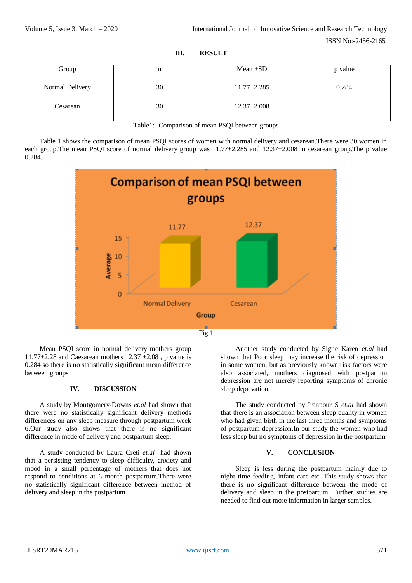ISSN No:-2456-2165

| Group           | n  | Mean $\pm SD$     | p value |
|-----------------|----|-------------------|---------|
|                 |    |                   |         |
| Normal Delivery | 30 | $11.77 \pm 2.285$ | 0.284   |
|                 |    |                   |         |
| Cesarean        | 30 | $12.37 \pm 2.008$ |         |
|                 |    |                   |         |

**III. RESULT**

Table1:- Comparison of mean PSQI between groups

Table 1 shows the comparison of mean PSQI scores of women with normal delivery and cesarean.There were 30 women in each group. The mean PSQI score of normal delivery group was  $11.77\pm2.285$  and  $12.37\pm2.008$  in cesarean group. The p value 0.284.



Mean PSQI score in normal delivery mothers group 11.77 $\pm$ 2.28 and Caesarean mothers 12.37  $\pm$ 2.08, p value is 0.284 so there is no statistically significant mean difference between groups .

# **IV. DISCUSSION**

A study by Montgomery-Downs *et.al* had shown that there were no statistically significant delivery methods differences on any sleep measure through postpartum week 6.Our study also shows that there is no significant difference in mode of delivery and postpartum sleep.

A study conducted by Laura Creti *et.al* had shown that a persisting tendency to sleep difficulty, anxiety and mood in a small percentage of mothers that does not respond to conditions at 6 month postpartum.There were no statistically significant difference between method of delivery and sleep in the postpartum.

Another study conducted by Signe Karen *et.al* had shown that Poor sleep may increase the risk of depression in some women, but as previously known risk factors were also associated, mothers diagnosed with postpartum depression are not merely reporting symptoms of chronic sleep deprivation.

The study conducted by Iranpour S *et.al* had shown that there is an association between sleep quality in women who had given birth in the last three months and symptoms of postpartum depression.In our study the women who had less sleep but no symptoms of depression in the postpartum

#### **V. CONCLUSION**

Sleep is less during the postpartum mainly due to night time feeding, infant care etc. This study shows that there is no significant difference between the mode of delivery and sleep in the postpartum. Further studies are needed to find out more information in larger samples.